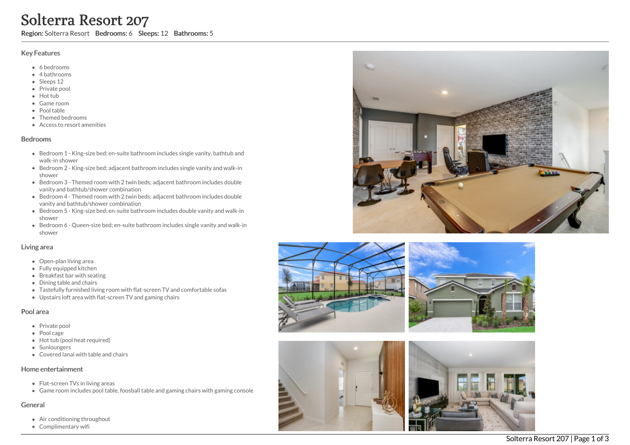# Solterra Resort<br>
Region: Solterra Resort<br>
Begion: Solterra Resort<br>
4 Selectrons<br>
4 Selectrons<br>
4 Selectrons<br>
8 Selectrons<br>
8 Selectrons<br>
8 Private pool<br>
8 Private pool<br>
8 Private pool<br>
8 Private pool<br>
8 Private pool<br>
8 Pri sort 207

Region: Solterra Resort Bedrooms: 6 Sleeps: 12 Bathrooms: 5

# Key Features

- 6 b e d r o o m s
- 4 bathrooms
- Sleeps 12
- Private pool
- Hot tub
- Game room
- Pool table
- Themed bedrooms
- Access to resort amenities

## **Bedrooms**

- Bedroom 1 King-size bed; en-suite bathroom includes single vanity, bathtub and walk-in shower
- Bedroom 2 King-size bed; adjacent bathroom includes single vanity and walk-in s h o w e r
- Bedroom 3 Themed room with 2 twin beds; adjacent bathroom includes double vanity and bathtub/shower combination
- Bedroom 4 Themed room with 2 twin beds; adjacent bathroom includes double vanity and bathtub/shower combination
- Bedroom 5 King-size bed; en-suite bathroom includes double vanity and walk-in s h o w e r
- Bedroom 6 Queen-size bed; en-suite bathroom includes single vanity and walk-in s h o w e r

# Living area

- Open-plan living area
- Fully equipped kitchen
- Breakfast bar with seating
- Dining table and chairs
- Tastefully furnished living room with flat-screen TV and comfortable sofas
- Upstairs loft area with flat-screen TV and gaming chairs

## Pool area

- Private pool
- Pool cage
- Hot tub (pool heat required)
- **Sunloungers**
- Covered lanai with table and chairs

## Home entertainment

- Flat-screen TVs in living areas
- Game room includes pool table, foosball table and gaming chairs with gaming console

# General

- Air conditioning throughout
- Complimentary









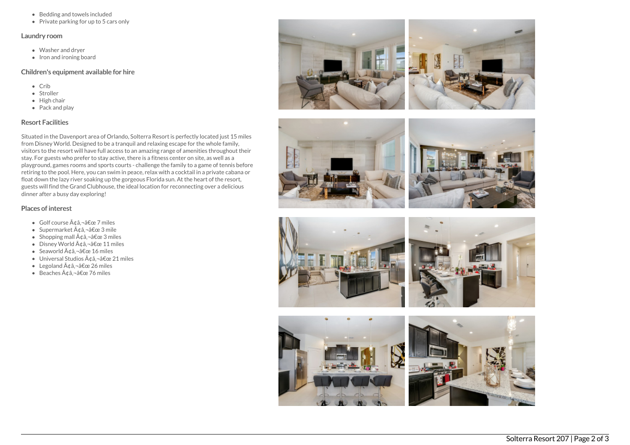- Bedding and towels included
- Private parking for up to 5 cars only

## Laundry room

- Washer and dryer
- $\bullet$  Iron and ironing board

### Children's equipment available for hire

- Crib
- Stroller
- $\bullet$  High chair
- Pack and play

# Resort Facilities

Situated in the Davenport area of Orlando, Solterra Resort is perfectly located just 15 miles from Disney World. Designed to be a tranquil and relaxing escape for the whole family, visitors to the resort will have full access to an amazing range of amenities throughout their stay. For guests who prefer to stay active, there is a fitness center on site, as well as a playground, games rooms and sports courts - challenge the family to a game of tennis before retiring to the pool. Here, you can swim in peace, relax with a cocktail in a private cabana or float down the lazy river soaking up the gorgeous Florida sun. At the heart of the resort, guests will find the Grand Clubhouse, the ideal location for reconnecting over a delicious dinner after a busy day exploring!

# Places of interest

- $\bullet$  Golf course  $\tilde{A}$ dâ.  $\neg$ â $\epsilon$ œ 7 miles
- Supermarket  $\tilde{A}$ ¢â.¬â€œ 3 mile
- Shopping mall  $\tilde{A} \notin \hat{a}$ ,  $\neg \hat{a} \notin \text{ce}$  3 miles
- $\bullet$  Disney World  $\tilde{A}$ dâ,  $\neg$ â $\epsilon$ œ 11 miles
- Seaworld  $\tilde{A}$ ¢â,¬â€œ 16 miles
- $\bullet$  Universal Studios  $\tilde{A} \triangleleft \hat{a}$ ,  $\neg \hat{a} \in \mathbb{C}$  21 miles
- Legoland  $\tilde{A} \notin \hat{a}$ ,  $-\hat{a} \notin \text{ce } 26$  miles
- $\bullet$  Beaches  $\tilde{A} \notin \hat{a}$ ,  $\neg \hat{a} \in \mathbb{C}$  are 76 miles